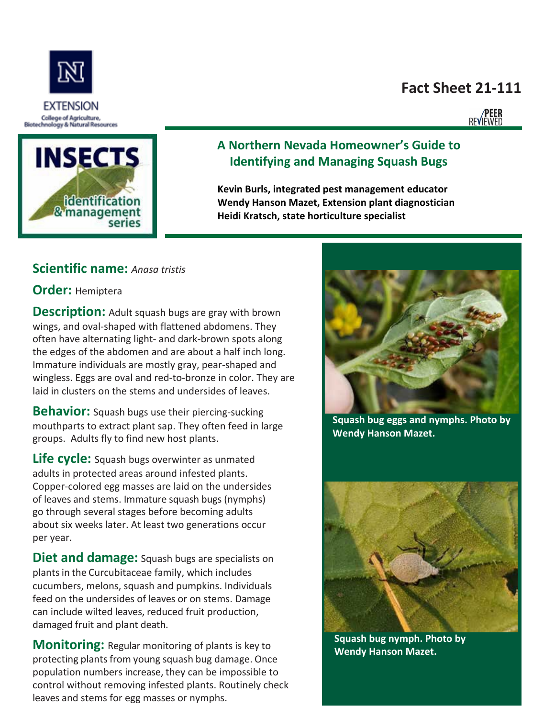# **Fact Sheet 21-111**

**PEER**<br>REVIEWED



EXTENSION

College of Agriculture,

# **A Northern Nevada Homeowner's Guide to Identifying and Managing Squash Bugs**

**Kevin Burls, integrated pest management educator Wendy Hanson Mazet, Extension plant diagnostician Heidi Kratsch, state horticulture specialist**

### **Scientific name:** *Anasa tristis*

#### **Order:** Hemiptera

**Description:** Adult squash bugs are gray with brown wings, and oval-shaped with flattened abdomens. They often have alternating light- and dark-brown spots along the edges of the abdomen and are about a half inch long. Immature individuals are mostly gray, pear-shaped and wingless. Eggs are oval and red-to-bronze in color. They are laid in clusters on the stems and undersides of leaves.

**Behavior:** Squash bugs use their piercing-sucking mouthparts to extract plant sap. They often feed in large groups. Adults fly to find new host plants.

**Life cycle:** Squash bugs overwinter as unmated adults in protected areas around infested plants. Copper-colored egg masses are laid on the undersides of leaves and stems. Immature squash bugs (nymphs) go through several stages before becoming adults about six weeks later. At least two generations occur per year.

**Diet and damage:** Squash bugs are specialists on plants in the Curcubitaceae family, which includes cucumbers, melons, squash and pumpkins. Individuals feed on the undersides of leaves or on stems. Damage can include wilted leaves, reduced fruit production, damaged fruit and plant death.

**Monitoring:** Regular monitoring of plants is key to protecting plants from young squash bug damage. Once population numbers increase, they can be impossible to control without removing infested plants. Routinely check leaves and stems for egg masses or nymphs.



**Squash bug eggs and nymphs. Photo by Wendy Hanson Mazet.**



**Squash bug nymph. Photo by Wendy Hanson Mazet.**